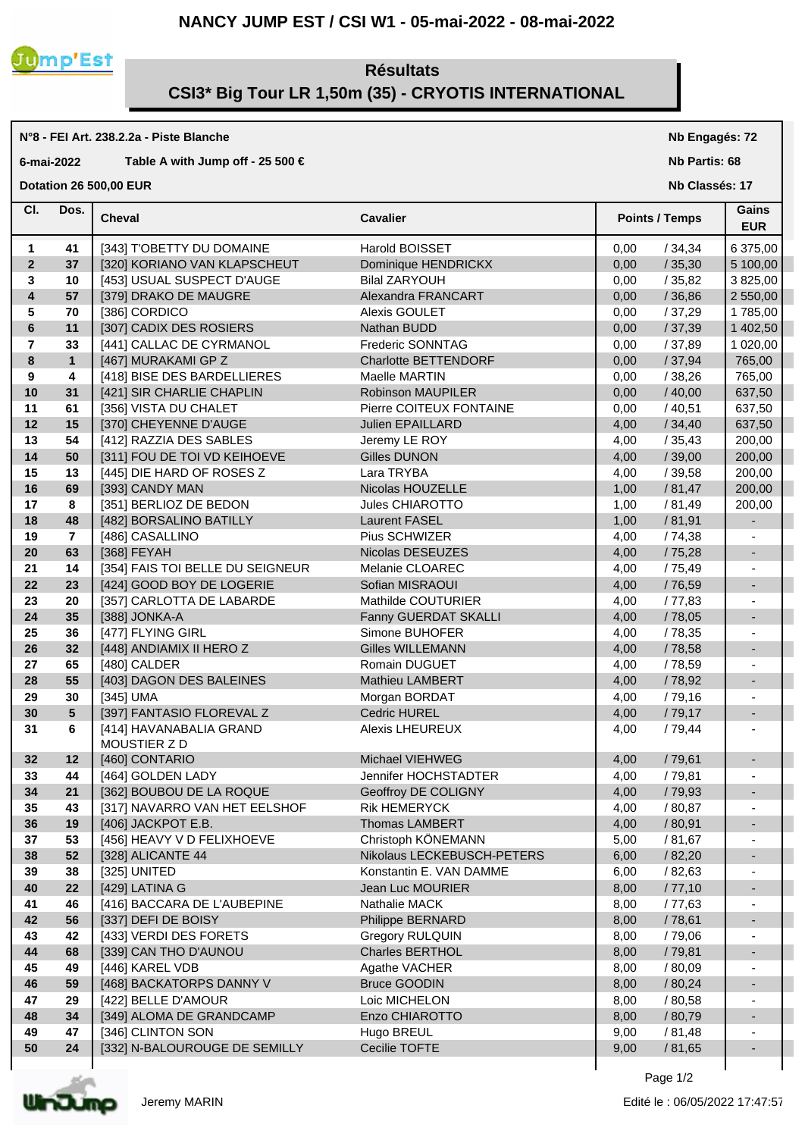#### **NANCY JUMP EST / CSI W1 - 05-mai-2022 - 08-mai-2022**



#### **Résultats CSI3\* Big Tour LR 1,50m (35) - CRYOTIS INTERNATIONAL**

# **N°8 - FEI Art. 238.2.2a - Piste Blanche**

## **6-mai-2022 Table A with Jump off - 25 500 €**

### **Dotation 26 500,00 EUR**

#### **Nb Engagés: 72**

**Nb Partis: 68**

**Nb Classés: 17** 

| CI.                     | Dos.            | <b>Cheval</b>                          | <b>Cavalier</b>             |      | <b>Points / Temps</b> |                          |
|-------------------------|-----------------|----------------------------------------|-----------------------------|------|-----------------------|--------------------------|
| 1                       | 41              | [343] T'OBETTY DU DOMAINE              | Harold BOISSET              | 0,00 | /34,34                | 6 375,00                 |
| $\mathbf{2}$            | 37              | [320] KORIANO VAN KLAPSCHEUT           | Dominique HENDRICKX         | 0,00 | /35,30                | 5 100,00                 |
| 3                       | 10              | [453] USUAL SUSPECT D'AUGE             | <b>Bilal ZARYOUH</b>        | 0,00 | /35,82                | 3 825,00                 |
| $\overline{\mathbf{4}}$ | 57              | [379] DRAKO DE MAUGRE                  | Alexandra FRANCART          | 0,00 | /36,86                | 2 550,00                 |
| 5                       | 70              | [386] CORDICO                          | Alexis GOULET               | 0,00 | /37,29                | 1785,00                  |
| $6\phantom{a}$          | 11              | [307] CADIX DES ROSIERS                | Nathan BUDD                 | 0,00 | /37,39                | 1 402,50                 |
| $\overline{7}$          | 33              | [441] CALLAC DE CYRMANOL               | Frederic SONNTAG            | 0,00 | /37,89                | 1 020,00                 |
| 8                       | $\mathbf{1}$    | [467] MURAKAMI GP Z                    | <b>Charlotte BETTENDORF</b> | 0,00 | /37,94                | 765,00                   |
| 9                       | 4               | [418] BISE DES BARDELLIERES            | Maelle MARTIN               | 0,00 | /38,26                | 765,00                   |
| 10                      | 31              | [421] SIR CHARLIE CHAPLIN              | <b>Robinson MAUPILER</b>    | 0,00 | /40,00                | 637,50                   |
| 11                      | 61              | [356] VISTA DU CHALET                  | Pierre COITEUX FONTAINE     | 0,00 | /40,51                | 637,50                   |
| 12                      | 15              | [370] CHEYENNE D'AUGE                  | Julien EPAILLARD            | 4,00 | /34,40                | 637,50                   |
| 13                      | 54              | [412] RAZZIA DES SABLES                | Jeremy LE ROY               | 4,00 | /35,43                | 200,00                   |
| 14                      | 50              | [311] FOU DE TOI VD KEIHOEVE           | <b>Gilles DUNON</b>         | 4,00 | /39,00                | 200,00                   |
| 15                      | 13              | [445] DIE HARD OF ROSES Z              | Lara TRYBA                  | 4,00 | /39,58                | 200,00                   |
| 16                      | 69              | [393] CANDY MAN                        | Nicolas HOUZELLE            | 1,00 | / 81,47               | 200,00                   |
| 17                      | 8               | [351] BERLIOZ DE BEDON                 | Jules CHIAROTTO             | 1,00 | / 81,49               | 200,00                   |
| 18                      | 48              | [482] BORSALINO BATILLY                | <b>Laurent FASEL</b>        | 1,00 | /81,91                |                          |
| 19                      | $\overline{7}$  | [486] CASALLINO                        | Pius SCHWIZER               | 4,00 | /74,38                |                          |
| 20                      | 63              | [368] FEYAH                            | Nicolas DESEUZES            | 4,00 | /75,28                | $\blacksquare$           |
| 21                      | 14              | [354] FAIS TOI BELLE DU SEIGNEUR       | Melanie CLOAREC             | 4,00 | /75,49                |                          |
| 22                      | 23              | [424] GOOD BOY DE LOGERIE              | Sofian MISRAOUI             | 4,00 | /76,59                | $\blacksquare$           |
| 23                      | 20              | [357] CARLOTTA DE LABARDE              | Mathilde COUTURIER          | 4,00 | / 77,83               |                          |
| 24                      | 35              | [388] JONKA-A                          | Fanny GUERDAT SKALLI        | 4,00 | /78,05                | $\overline{\phantom{a}}$ |
| 25                      | 36              | [477] FLYING GIRL                      | Simone BUHOFER              | 4,00 | /78,35                |                          |
| 26                      | 32              | [448] ANDIAMIX II HERO Z               | <b>Gilles WILLEMANN</b>     | 4,00 | /78,58                | $\overline{\phantom{a}}$ |
| 27                      | 65              | [480] CALDER                           | Romain DUGUET               | 4,00 | /78,59                | $\blacksquare$           |
| 28                      | 55              | [403] DAGON DES BALEINES               | Mathieu LAMBERT             | 4,00 | /78,92                | $\blacksquare$           |
| 29                      | 30              | [345] UMA                              | Morgan BORDAT               | 4,00 | /79,16                | $\blacksquare$           |
| 30                      | $5\phantom{.0}$ | [397] FANTASIO FLOREVAL Z              | Cedric HUREL                | 4,00 | /79,17                | $\overline{\phantom{a}}$ |
| 31                      | 6               | [414] HAVANABALIA GRAND<br>MOUSTIER ZD | <b>Alexis LHEUREUX</b>      | 4,00 | /79,44                | $\overline{\phantom{a}}$ |
| 32                      | 12              | [460] CONTARIO                         | Michael VIEHWEG             | 4,00 | /79,61                | $\overline{\phantom{a}}$ |
| 33                      | 44              | [464] GOLDEN LADY                      | Jennifer HOCHSTADTER        | 4,00 | /79,81                |                          |
| 34                      | 21              | [362] BOUBOU DE LA ROQUE               | Geoffroy DE COLIGNY         | 4,00 | /79,93                | -                        |
| 35                      | 43              | [317] NAVARRO VAN HET EELSHOF          | Rik HEMERYCK                | 4,00 | / 80,87               |                          |
| 36                      | 19              | [406] JACKPOT E.B.                     | Thomas LAMBERT              | 4,00 | /80,91                |                          |
| 37                      | 53              | [456] HEAVY V D FELIXHOEVE             | Christoph KÖNEMANN          | 5,00 | / 81,67               |                          |
| 38                      | 52              | [328] ALICANTE 44                      | Nikolaus LECKEBUSCH-PETERS  | 6,00 | / 82,20               |                          |
| 39                      | 38              | [325] UNITED                           | Konstantin E. VAN DAMME     | 6,00 | /82,63                |                          |
| 40                      | 22              | [429] LATINA G                         | Jean Luc MOURIER            | 8,00 | /77,10                |                          |
| 41                      | 46              | [416] BACCARA DE L'AUBEPINE            | Nathalie MACK               | 8,00 | /77,63                |                          |
| 42                      | 56              | [337] DEFI DE BOISY                    | Philippe BERNARD            | 8,00 | /78,61                |                          |
| 43                      | 42              | [433] VERDI DES FORETS                 | <b>Gregory RULQUIN</b>      | 8,00 | /79,06                |                          |
| 44                      | 68              | [339] CAN THO D'AUNOU                  | Charles BERTHOL             | 8,00 | /79,81                | -                        |
| 45                      | 49              | [446] KAREL VDB                        | Agathe VACHER               | 8,00 | / 80,09               |                          |
| 46                      | 59              | [468] BACKATORPS DANNY V               | <b>Bruce GOODIN</b>         | 8,00 | / 80,24               | -                        |
| 47                      | 29              | [422] BELLE D'AMOUR                    | Loic MICHELON               | 8,00 | / 80,58               |                          |
| 48                      | 34              | [349] ALOMA DE GRANDCAMP               | Enzo CHIAROTTO              | 8,00 | / 80,79               | $\overline{\phantom{a}}$ |
| 49                      | 47              | [346] CLINTON SON                      | Hugo BREUL                  | 9,00 | / 81,48               | $\overline{\phantom{a}}$ |
| 50                      | 24              | [332] N-BALOUROUGE DE SEMILLY          | Cecilie TOFTE               | 9,00 | / 81,65               |                          |
|                         |                 |                                        |                             |      |                       |                          |